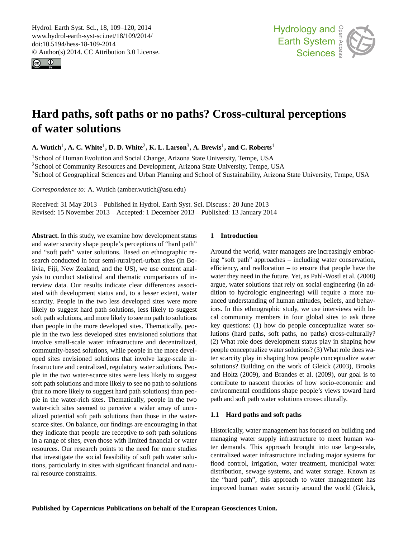<span id="page-0-0"></span>Hydrol. Earth Syst. Sci., 18, 109–120, 2014 www.hydrol-earth-syst-sci.net/18/109/2014/ doi:10.5194/hess-18-109-2014 © Author(s) 2014. CC Attribution 3.0 License.





# **Hard paths, soft paths or no paths? Cross-cultural perceptions of water solutions**

 $\mathbf{A}.$  Wutich<sup>1</sup>,  $\mathbf{A}.$  C. White<sup>1</sup>,  $\mathbf{D}.$  D. White<sup>2</sup>,  $\mathbf{K}.$  L. Larson $^3,$   $\mathbf{A}.$  Brewis<sup>1</sup>, and C. Roberts<sup>1</sup>

<sup>1</sup>School of Human Evolution and Social Change, Arizona State University, Tempe, USA <sup>2</sup>School of Community Resources and Development, Arizona State University, Tempe, USA <sup>3</sup>School of Geographical Sciences and Urban Planning and School of Sustainability, Arizona State University, Tempe, USA

*Correspondence to:* A. Wutich (amber.wutich@asu.edu)

Received: 31 May 2013 – Published in Hydrol. Earth Syst. Sci. Discuss.: 20 June 2013 Revised: 15 November 2013 – Accepted: 1 December 2013 – Published: 13 January 2014

**Abstract.** In this study, we examine how development status and water scarcity shape people's perceptions of "hard path" and "soft path" water solutions. Based on ethnographic research conducted in four semi-rural/peri-urban sites (in Bolivia, Fiji, New Zealand, and the US), we use content analysis to conduct statistical and thematic comparisons of interview data. Our results indicate clear differences associated with development status and, to a lesser extent, water scarcity. People in the two less developed sites were more likely to suggest hard path solutions, less likely to suggest soft path solutions, and more likely to see no path to solutions than people in the more developed sites. Thematically, people in the two less developed sites envisioned solutions that involve small-scale water infrastructure and decentralized, community-based solutions, while people in the more developed sites envisioned solutions that involve large-scale infrastructure and centralized, regulatory water solutions. People in the two water-scarce sites were less likely to suggest soft path solutions and more likely to see no path to solutions (but no more likely to suggest hard path solutions) than people in the water-rich sites. Thematically, people in the two water-rich sites seemed to perceive a wider array of unrealized potential soft path solutions than those in the waterscarce sites. On balance, our findings are encouraging in that they indicate that people are receptive to soft path solutions in a range of sites, even those with limited financial or water resources. Our research points to the need for more studies that investigate the social feasibility of soft path water solutions, particularly in sites with significant financial and natural resource constraints.

## **1 Introduction**

Around the world, water managers are increasingly embracing "soft path" approaches – including water conservation, efficiency, and reallocation – to ensure that people have the water they need in the future. Yet, as Pahl-Wostl et al. (2008) argue, water solutions that rely on social engineering (in addition to hydrologic engineering) will require a more nuanced understanding of human attitudes, beliefs, and behaviors. In this ethnographic study, we use interviews with local community members in four global sites to ask three key questions: (1) how do people conceptualize water solutions (hard paths, soft paths, no paths) cross-culturally? (2) What role does development status play in shaping how people conceptualize water solutions? (3) What role does water scarcity play in shaping how people conceptualize water solutions? Building on the work of Gleick (2003), Brooks and Holtz (2009), and Brandes et al. (2009), our goal is to contribute to nascent theories of how socio-economic and environmental conditions shape people's views toward hard path and soft path water solutions cross-culturally.

## **1.1 Hard paths and soft paths**

Historically, water management has focused on building and managing water supply infrastructure to meet human water demands. This approach brought into use large-scale, centralized water infrastructure including major systems for flood control, irrigation, water treatment, municipal water distribution, sewage systems, and water storage. Known as the "hard path", this approach to water management has improved human water security around the world (Gleick,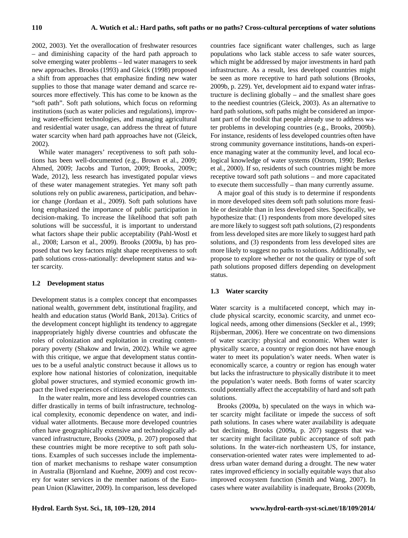2002, 2003). Yet the overallocation of freshwater resources – and diminishing capacity of the hard path approach to solve emerging water problems – led water managers to seek new approaches. Brooks (1993) and Gleick (1998) proposed a shift from approaches that emphasize finding new water supplies to those that manage water demand and scarce resources more effectively. This has come to be known as the "soft path". Soft path solutions, which focus on reforming institutions (such as water policies and regulations), improving water-efficient technologies, and managing agricultural and residential water usage, can address the threat of future water scarcity when hard path approaches have not (Gleick, 2002).

While water managers' receptiveness to soft path solutions has been well-documented (e.g., Brown et al., 2009; Ahmed, 2009; Jacobs and Turton, 2009; Brooks, 2009c; Wade, 2012), less research has investigated popular views of these water management strategies. Yet many soft path solutions rely on public awareness, participation, and behavior change (Jordaan et al., 2009). Soft path solutions have long emphasized the importance of public participation in decision-making. To increase the likelihood that soft path solutions will be successful, it is important to understand what factors shape their public acceptability (Pahl-Wostl et al., 2008; Larson et al., 2009). Brooks (2009a, b) has proposed that two key factors might shape receptiveness to soft path solutions cross-nationally: development status and water scarcity.

# **1.2 Development status**

Development status is a complex concept that encompasses national wealth, government debt, institutional fragility, and health and education status (World Bank, 2013a). Critics of the development concept highlight its tendency to aggregate inappropriately highly diverse countries and obfuscate the roles of colonization and exploitation in creating contemporary poverty (Shakow and Irwin, 2002). While we agree with this critique, we argue that development status continues to be a useful analytic construct because it allows us to explore how national histories of colonization, inequitable global power structures, and stymied economic growth impact the lived experiences of citizens across diverse contexts.

In the water realm, more and less developed countries can differ drastically in terms of built infrastructure, technological complexity, economic dependence on water, and individual water allotments. Because more developed countries often have geographically extensive and technologically advanced infrastructure, Brooks (2009a, p. 207) proposed that these countries might be more receptive to soft path solutions. Examples of such successes include the implementation of market mechanisms to reshape water consumption in Australia (Bjornland and Kuehne, 2009) and cost recovery for water services in the member nations of the European Union (Klawitter, 2009). In comparison, less developed countries face significant water challenges, such as large populations who lack stable access to safe water sources, which might be addressed by major investments in hard path infrastructure. As a result, less developed countries might be seen as more receptive to hard path solutions (Brooks, 2009b, p. 229). Yet, development aid to expand water infrastructure is declining globally – and the smallest share goes to the neediest countries (Gleick, 2003). As an alternative to hard path solutions, soft paths might be considered an important part of the toolkit that people already use to address water problems in developing countries (e.g., Brooks, 2009b). For instance, residents of less developed countries often have strong community governance institutions, hands-on experience managing water at the community level, and local ecological knowledge of water systems (Ostrom, 1990; Berkes et al., 2000). If so, residents of such countries might be more receptive toward soft path solutions – and more capacitated to execute them successfully – than many currently assume.

A major goal of this study is to determine if respondents in more developed sites deem soft path solutions more feasible or desirable than in less developed sites. Specifically, we hypothesize that: (1) respondents from more developed sites are more likely to suggest soft path solutions, (2) respondents from less developed sites are more likely to suggest hard path solutions, and (3) respondents from less developed sites are more likely to suggest no paths to solutions. Additionally, we propose to explore whether or not the quality or type of soft path solutions proposed differs depending on development status.

# **1.3 Water scarcity**

Water scarcity is a multifaceted concept, which may include physical scarcity, economic scarcity, and unmet ecological needs, among other dimensions (Seckler et al., 1999; Rijsberman, 2006). Here we concentrate on two dimensions of water scarcity: physical and economic. When water is physically scarce, a country or region does not have enough water to meet its population's water needs. When water is economically scarce, a country or region has enough water but lacks the infrastructure to physically distribute it to meet the population's water needs. Both forms of water scarcity could potentially affect the acceptability of hard and soft path solutions.

Brooks (2009a, b) speculated on the ways in which water scarcity might facilitate or impede the success of soft path solutions. In cases where water availability is adequate but declining, Brooks (2009a, p. 207) suggests that water scarcity might facilitate public acceptance of soft path solutions. In the water-rich northeastern US, for instance, conservation-oriented water rates were implemented to address urban water demand during a drought. The new water rates improved efficiency in socially equitable ways that also improved ecosystem function (Smith and Wang, 2007). In cases where water availability is inadequate, Brooks (2009b,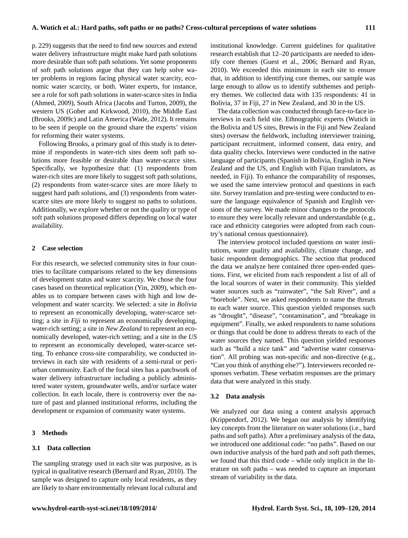p. 229) suggests that the need to find new sources and extend water delivery infrastructure might make hard path solutions more desirable than soft path solutions. Yet some proponents of soft path solutions argue that they can help solve water problems in regions facing physical water scarcity, economic water scarcity, or both. Water experts, for instance, see a role for soft path solutions in water-scarce sites in India (Ahmed, 2009), South Africa (Jacobs and Turton, 2009), the western US (Gober and Kirkwood, 2010), the Middle East (Brooks, 2009c) and Latin America (Wade, 2012). It remains to be seen if people on the ground share the experts' vision for reforming their water systems.

Following Brooks, a primary goal of this study is to determine if respondents in water-rich sites deem soft path solutions more feasible or desirable than water-scarce sites. Specifically, we hypothesize that: (1) respondents from water-rich sites are more likely to suggest soft path solutions, (2) respondents from water-scarce sites are more likely to suggest hard path solutions, and (3) respondents from waterscarce sites are more likely to suggest no paths to solutions. Additionally, we explore whether or not the quality or type of soft path solutions proposed differs depending on local water availability.

### **2 Case selection**

For this research, we selected community sites in four countries to facilitate comparisons related to the key dimensions of development status and water scarcity. We chose the four cases based on theoretical replication (Yin, 2009), which enables us to compare between cases with high and low development and water scarcity. We selected: a site in *Bolivia* to represent an economically developing, water-scarce setting; a site in *Fiji* to represent an economically developing, water-rich setting; a site in *New Zealand* to represent an economically developed, water-rich setting; and a site in the *US* to represent an economically developed, water-scarce setting. To enhance cross-site comparability, we conducted interviews in each site with residents of a semi-rural or periurban community. Each of the focal sites has a patchwork of water delivery infrastructure including a publicly administered water system, groundwater wells, and/or surface water collection. In each locale, there is controversy over the nature of past and planned institutional reforms, including the development or expansion of community water systems.

## **3 Methods**

## **3.1 Data collection**

The sampling strategy used in each site was purposive, as is typical in qualitative research (Bernard and Ryan, 2010). The sample was designed to capture only local residents, as they are likely to share environmentally relevant local cultural and institutional knowledge. Current guidelines for qualitative research establish that 12–20 participants are needed to identify core themes (Guest et al., 2006; Bernard and Ryan, 2010). We exceeded this minimum in each site to ensure that, in addition to identifying core themes, our sample was large enough to allow us to identify subthemes and periphery themes. We collected data with 135 respondents: 41 in Bolivia, 37 in Fiji, 27 in New Zealand, and 30 in the US.

The data collection was conducted through face-to-face interviews in each field site. Ethnographic experts (Wutich in the Bolivia and US sites, Brewis in the Fiji and New Zealand sites) oversaw the fieldwork, including interviewer training, participant recruitment, informed consent, data entry, and data quality checks. Interviews were conducted in the native language of participants (Spanish in Bolivia, English in New Zealand and the US, and English with Fijian translators, as needed, in Fiji). To enhance the comparability of responses, we used the same interview protocol and questions in each site. Survey translation and pre-testing were conducted to ensure the language equivalence of Spanish and English versions of the survey. We made minor changes to the protocols to ensure they were locally relevant and understandable (e.g., race and ethnicity categories were adopted from each country's national census questionnaire).

The interview protocol included questions on water institutions, water quality and availability, climate change, and basic respondent demographics. The section that produced the data we analyze here contained three open-ended questions. First, we elicited from each respondent a list of all of the local sources of water in their community. This yielded water sources such as "rainwater", "the Salt River", and a "borehole". Next, we asked respondents to name the threats to each water source. This question yielded responses such as "drought", "disease", "contamination", and "breakage in equipment". Finally, we asked respondents to name solutions or things that could be done to address threats to each of the water sources they named. This question yielded responses such as "build a nice tank" and "advertise water conservation". All probing was non-specific and non-directive (e.g., "Can you think of anything else?"). Interviewers recorded responses verbatim. These verbatim responses are the primary data that were analyzed in this study.

#### **3.2 Data analysis**

We analyzed our data using a content analysis approach (Krippendorf, 2012). We began our analysis by identifying key concepts from the literature on water solutions (i.e., hard paths and soft paths). After a preliminary analysis of the data, we introduced one additional code: "no paths". Based on our own inductive analysis of the hard path and soft path themes, we found that this third code – while only implicit in the literature on soft paths – was needed to capture an important stream of variability in the data.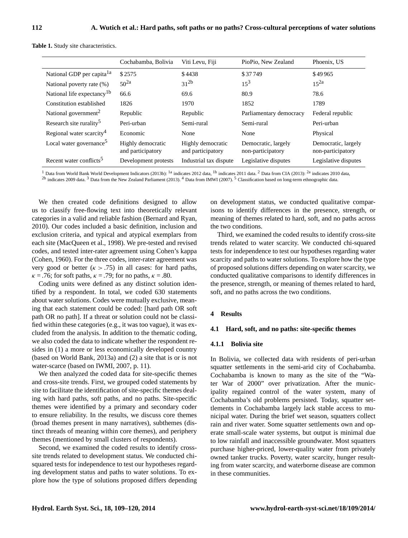|                                        | Cochabamba, Bolivia                    | Viti Levu, Fiji                        | PioPio, New Zealand                      | Phoenix, US                              |
|----------------------------------------|----------------------------------------|----------------------------------------|------------------------------------------|------------------------------------------|
| National GDP per capita <sup>1a</sup>  | \$2575                                 | \$4438                                 | \$37749                                  | \$49965                                  |
| National poverty rate (%)              | $50^{2a}$                              | $31^{2b}$                              | $15^3$                                   | $15^{2a}$                                |
| National life expectancy <sup>1b</sup> | 66.6                                   | 69.6                                   | 80.9                                     | 78.6                                     |
| Constitution established               | 1826                                   | 1970                                   | 1852                                     | 1789                                     |
| National government <sup>2</sup>       | Republic                               | Republic                               | Parliamentary democracy                  | Federal republic                         |
| Research site rurality <sup>5</sup>    | Peri-urban                             | Semi-rural                             | Semi-rural                               | Peri-urban                               |
| Regional water scarcity <sup>4</sup>   | Economic                               | None                                   | None                                     | Physical                                 |
| Local water governance <sup>5</sup>    | Highly democratic<br>and participatory | Highly democratic<br>and participatory | Democratic, largely<br>non-participatory | Democratic, largely<br>non-participatory |
| Recent water conflicts <sup>5</sup>    | Development protests                   | Industrial tax dispute                 | Legislative disputes                     | Legislative disputes                     |

**Table 1.** Study site characteristics.

<sup>1</sup> Data from World Bank World Development Indicators (2013b): <sup>1a</sup> indicates 2012 data, <sup>1b</sup> indicates 2011 data. <sup>2</sup> Data from CIA (2013): <sup>2a</sup> indicates 2010 data, <sup>2b</sup> indicates 2009 data.<sup>3</sup> Data from the New Zealand Parliament (2013). <sup>4</sup> Data from IMWI (2007). <sup>5</sup> Classification based on long-term ethnographic data.

We then created code definitions designed to allow us to classify free-flowing text into theoretically relevant categories in a valid and reliable fashion (Bernard and Ryan, 2010). Our codes included a basic definition, inclusion and exclusion criteria, and typical and atypical exemplars from each site (MacQueen et al., 1998). We pre-tested and revised codes, and tested inter-rater agreement using Cohen's kappa (Cohen, 1960). For the three codes, inter-rater agreement was very good or better  $(k > .75)$  in all cases: for hard paths,  $\kappa = .76$ ; for soft paths,  $\kappa = .79$ ; for no paths,  $\kappa = .80$ .

Coding units were defined as any distinct solution identified by a respondent. In total, we coded 630 statements about water solutions. Codes were mutually exclusive, meaning that each statement could be coded: [hard path OR soft path OR no path]. If a threat or solution could not be classified within these categories (e.g., it was too vague), it was excluded from the analysis. In addition to the thematic coding, we also coded the data to indicate whether the respondent resides in (1) a more or less economically developed country (based on World Bank, 2013a) and (2) a site that is or is not water-scarce (based on IWMI, 2007, p. 11).

We then analyzed the coded data for site-specific themes and cross-site trends. First, we grouped coded statements by site to facilitate the identification of site-specific themes dealing with hard paths, soft paths, and no paths. Site-specific themes were identified by a primary and secondary coder to ensure reliability. In the results, we discuss core themes (broad themes present in many narratives), subthemes (distinct threads of meaning within core themes), and periphery themes (mentioned by small clusters of respondents).

Second, we examined the coded results to identify crosssite trends related to development status. We conducted chisquared tests for independence to test our hypotheses regarding development status and paths to water solutions. To explore how the type of solutions proposed differs depending on development status, we conducted qualitative comparisons to identify differences in the presence, strength, or meaning of themes related to hard, soft, and no paths across the two conditions.

Third, we examined the coded results to identify cross-site trends related to water scarcity. We conducted chi-squared tests for independence to test our hypotheses regarding water scarcity and paths to water solutions. To explore how the type of proposed solutions differs depending on water scarcity, we conducted qualitative comparisons to identify differences in the presence, strength, or meaning of themes related to hard, soft, and no paths across the two conditions.

## **4 Results**

#### **4.1 Hard, soft, and no paths: site-specific themes**

#### **4.1.1 Bolivia site**

In Bolivia, we collected data with residents of peri-urban squatter settlements in the semi-arid city of Cochabamba. Cochabamba is known to many as the site of the "Water War of 2000" over privatization. After the municipality regained control of the water system, many of Cochabamba's old problems persisted. Today, squatter settlements in Cochabamba largely lack stable access to municipal water. During the brief wet season, squatters collect rain and river water. Some squatter settlements own and operate small-scale water systems, but output is minimal due to low rainfall and inaccessible groundwater. Most squatters purchase higher-priced, lower-quality water from privately owned tanker trucks. Poverty, water scarcity, hunger resulting from water scarcity, and waterborne disease are common in these communities.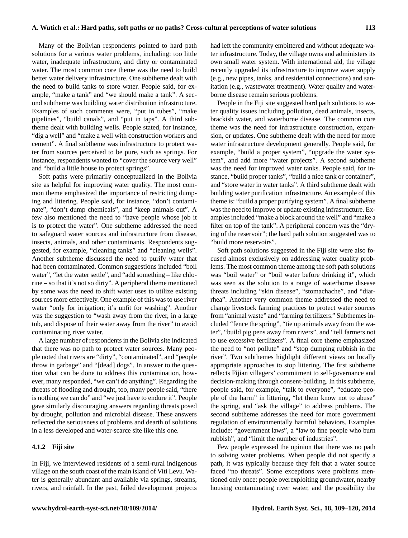Many of the Bolivian respondents pointed to hard path solutions for a various water problems, including: too little water, inadequate infrastructure, and dirty or contaminated water. The most common core theme was the need to build better water delivery infrastructure. One subtheme dealt with the need to build tanks to store water. People said, for example, "make a tank" and "we should make a tank". A second subtheme was building water distribution infrastructure. Examples of such comments were, "put in tubes", "make pipelines", "build canals", and "put in taps". A third subtheme dealt with building wells. People stated, for instance, "dig a well" and "make a well with construction workers and cement". A final subtheme was infrastructure to protect water from sources perceived to be pure, such as springs. For instance, respondents wanted to "cover the source very well" and "build a little house to protect springs".

Soft paths were primarily conceptualized in the Bolivia site as helpful for improving water quality. The most common theme emphasized the importance of restricting dumping and littering. People said, for instance, "don't contaminate", "don't dump chemicals", and "keep animals out". A few also mentioned the need to "have people whose job it is to protect the water". One subtheme addressed the need to safeguard water sources and infrastructure from disease, insects, animals, and other contaminants. Respondents suggested, for example, "cleaning tanks" and "cleaning wells". Another subtheme discussed the need to purify water that had been contaminated. Common suggestions included "boil water", "let the water settle", and "add something – like chlorine – so that it's not so dirty". A peripheral theme mentioned by some was the need to shift water uses to utilize existing sources more effectively. One example of this was to use river water "only for irrigation; it's unfit for washing". Another was the suggestion to "wash away from the river, in a large tub, and dispose of their water away from the river" to avoid contaminating river water.

A large number of respondents in the Bolivia site indicated that there was no path to protect water sources. Many people noted that rivers are "dirty", "contaminated", and "people throw in garbage" and "[dead] dogs". In answer to the question what can be done to address this contamination, however, many responded, "we can't do anything". Regarding the threats of flooding and drought, too, many people said, "there is nothing we can do" and "we just have to endure it". People gave similarly discouraging answers regarding threats posed by drought, pollution and microbial disease. These answers reflected the seriousness of problems and dearth of solutions in a less developed and water-scarce site like this one.

### **4.1.2 Fiji site**

In Fiji, we interviewed residents of a semi-rural indigenous village on the south coast of the main island of Viti Levu. Water is generally abundant and available via springs, streams, rivers, and rainfall. In the past, failed development projects had left the community embittered and without adequate water infrastructure. Today, the village owns and administers its own small water system. With international aid, the village recently upgraded its infrastructure to improve water supply (e.g., new pipes, tanks, and residential connections) and sanitation (e.g., wastewater treatment). Water quality and waterborne disease remain serious problems.

People in the Fiji site suggested hard path solutions to water quality issues including pollution, dead animals, insects, brackish water, and waterborne disease. The common core theme was the need for infrastructure construction, expansion, or updates. One subtheme dealt with the need for more water infrastructure development generally. People said, for example, "build a proper system", "upgrade the water system", and add more "water projects". A second subtheme was the need for improved water tanks. People said, for instance, "build proper tanks", "build a nice tank or container", and "store water in water tanks". A third subtheme dealt with building water purification infrastructure. An example of this theme is: "build a proper purifying system". A final subtheme was the need to improve or update existing infrastructure. Examples included "make a block around the well" and "make a filter on top of the tank". A peripheral concern was the "drying of the reservoir"; the hard path solution suggested was to "build more reservoirs".

Soft path solutions suggested in the Fiji site were also focused almost exclusively on addressing water quality problems. The most common theme among the soft path solutions was "boil water" or "boil water before drinking it", which was seen as the solution to a range of waterborne disease threats including "skin disease", "stomachache", and "diarrhea". Another very common theme addressed the need to change livestock farming practices to protect water sources from "animal waste" and "farming fertilizers." Subthemes included "fence the spring", "tie up animals away from the water", "build pig pens away from rivers", and "tell farmers not to use excessive fertilizers". A final core theme emphasized the need to "not pollute" and "stop dumping rubbish in the river". Two subthemes highlight different views on locally appropriate approaches to stop littering. The first subtheme reflects Fijian villagers' commitment to self-governance and decision-making through consent-building. In this subtheme, people said, for example, "talk to everyone", "educate people of the harm" in littering, "let them know not to abuse" the spring, and "ask the village" to address problems. The second subtheme addresses the need for more government regulation of environmentally harmful behaviors. Examples include: "government laws", a "law to fine people who burn rubbish", and "limit the number of industries".

Few people expressed the opinion that there was no path to solving water problems. When people did not specify a path, it was typically because they felt that a water source faced "no threats". Some exceptions were problems mentioned only once: people overexploiting groundwater, nearby housing contaminating river water, and the possibility the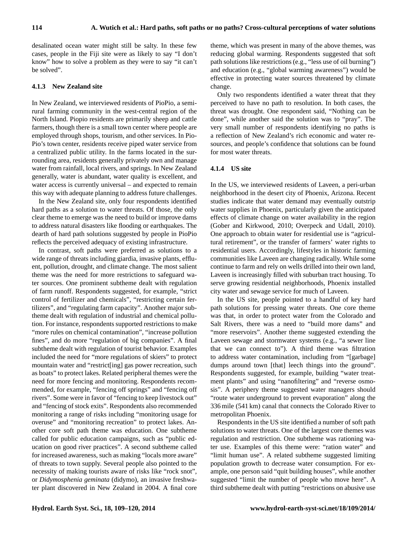desalinated ocean water might still be salty. In these few cases, people in the Fiji site were as likely to say "I don't know" how to solve a problem as they were to say "it can't be solved".

## **4.1.3 New Zealand site**

In New Zealand, we interviewed residents of PioPio, a semirural farming community in the west-central region of the North Island. Piopio residents are primarily sheep and cattle farmers, though there is a small town center where people are employed through shops, tourism, and other services. In Pio-Pio's town center, residents receive piped water service from a centralized public utility. In the farms located in the surrounding area, residents generally privately own and manage water from rainfall, local rivers, and springs. In New Zealand generally, water is abundant, water quality is excellent, and water access is currently universal – and expected to remain this way with adequate planning to address future challenges.

In the New Zealand site, only four respondents identified hard paths as a solution to water threats. Of those, the only clear theme to emerge was the need to build or improve dams to address natural disasters like flooding or earthquakes. The dearth of hard path solutions suggested by people in PioPio reflects the perceived adequacy of existing infrastructure.

In contrast, soft paths were preferred as solutions to a wide range of threats including giardia, invasive plants, effluent, pollution, drought, and climate change. The most salient theme was the need for more restrictions to safeguard water sources. One prominent subtheme dealt with regulation of farm runoff. Respondents suggested, for example, "strict control of fertilizer and chemicals", "restricting certain fertilizers", and "regulating farm capacity". Another major subtheme dealt with regulation of industrial and chemical pollution. For instance, respondents supported restrictions to make "more rules on chemical contamination", "increase pollution" fines", and do more "regulation of big companies". A final subtheme dealt with regulation of tourist behavior. Examples included the need for "more regulations of skiers" to protect mountain water and "restrict[ing] gas power recreation, such as boats" to protect lakes. Related peripheral themes were the need for more fencing and monitoring. Respondents recommended, for example, "fencing off springs" and "fencing off rivers". Some were in favor of "fencing to keep livestock out" and "fencing of stock exits". Respondents also recommended monitoring a range of risks including "monitoring usage for overuse" and "monitoring recreation" to protect lakes. Another core soft path theme was education. One subtheme called for public education campaigns, such as "public education on good river practices". A second subtheme called for increased awareness, such as making "locals more aware" of threats to town supply. Several people also pointed to the necessity of making tourists aware of risks like "rock snot", or *Didymosphenia geminata* (didymo), an invasive freshwater plant discovered in New Zealand in 2004. A final core theme, which was present in many of the above themes, was reducing global warming. Respondents suggested that soft path solutions like restrictions (e.g., "less use of oil burning") and education (e.g., "global warming awareness") would be effective in protecting water sources threatened by climate change.

Only two respondents identified a water threat that they perceived to have no path to resolution. In both cases, the threat was drought. One respondent said, "Nothing can be done", while another said the solution was to "pray". The very small number of respondents identifying no paths is a reflection of New Zealand's rich economic and water resources, and people's confidence that solutions can be found for most water threats.

## **4.1.4 US site**

In the US, we interviewed residents of Laveen, a peri-urban neighborhood in the desert city of Phoenix, Arizona. Recent studies indicate that water demand may eventually outstrip water supplies in Phoenix, particularly given the anticipated effects of climate change on water availability in the region (Gober and Kirkwood, 2010; Overpeck and Udall, 2010). One approach to obtain water for residential use is "agricultural retirement", or the transfer of farmers' water rights to residential users. Accordingly, lifestyles in historic farming communities like Laveen are changing radically. While some continue to farm and rely on wells drilled into their own land, Laveen is increasingly filled with suburban tract housing. To serve growing residential neighborhoods, Phoenix installed city water and sewage service for much of Laveen.

In the US site, people pointed to a handful of key hard path solutions for pressing water threats. One core theme was that, in order to protect water from the Colorado and Salt Rivers, there was a need to "build more dams" and "more reservoirs". Another theme suggested extending the Laveen sewage and stormwater systems (e.g., "a sewer line that we can connect to"). A third theme was filtration to address water contamination, including from "[garbage] dumps around town [that] leech things into the ground". Respondents suggested, for example, building "water treatment plants" and using "nanofiltering" and "reverse osmosis". A periphery theme suggested water managers should "route water underground to prevent evaporation" along the 336 mile (541 km) canal that connects the Colorado River to metropolitan Phoenix.

Respondents in the US site identified a number of soft path solutions to water threats. One of the largest core themes was regulation and restriction. One subtheme was rationing water use. Examples of this theme were: "ration water" and "limit human use". A related subtheme suggested limiting population growth to decrease water consumption. For example, one person said "quit building houses", while another suggested "limit the number of people who move here". A third subtheme dealt with putting "restrictions on abusive use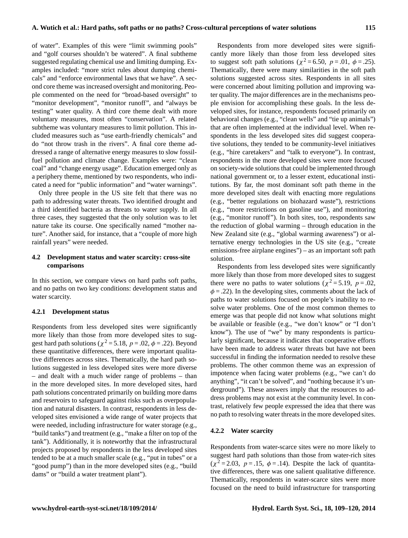of water". Examples of this were "limit swimming pools" and "golf courses shouldn't be watered". A final subtheme suggested regulating chemical use and limiting dumping. Examples included: "more strict rules about dumping chemicals" and "enforce environmental laws that we have". A second core theme was increased oversight and monitoring. People commented on the need for "broad-based oversight" to "monitor development", "monitor runoff", and "always be testing" water quality. A third core theme dealt with more voluntary measures, most often "conservation". A related subtheme was voluntary measures to limit pollution. This included measures such as "use earth-friendly chemicals" and do "not throw trash in the rivers". A final core theme addressed a range of alternative energy measures to slow fossilfuel pollution and climate change. Examples were: "clean coal" and "change energy usage". Education emerged only as a periphery theme, mentioned by two respondents, who indicated a need for "public information" and "water warnings".

Only three people in the US site felt that there was no path to addressing water threats. Two identified drought and a third identified bacteria as threats to water supply. In all three cases, they suggested that the only solution was to let nature take its course. One specifically named "mother nature". Another said, for instance, that a "couple of more high rainfall years" were needed.

## **4.2 Development status and water scarcity: cross-site comparisons**

In this section, we compare views on hard paths soft paths, and no paths on two key conditions: development status and water scarcity.

#### **4.2.1 Development status**

Respondents from less developed sites were significantly more likely than those from more developed sites to suggest hard path solutions ( $\chi^2$  = 5.18,  $p$  = .02,  $\phi$  = .22). Beyond these quantitative differences, there were important qualitative differences across sites. Thematically, the hard path solutions suggested in less developed sites were more diverse – and dealt with a much wider range of problems – than in the more developed sites. In more developed sites, hard path solutions concentrated primarily on building more dams and reservoirs to safeguard against risks such as overpopulation and natural disasters. In contrast, respondents in less developed sites envisioned a wide range of water projects that were needed, including infrastructure for water storage (e.g., "build tanks") and treatment (e.g., "make a filter on top of the tank"). Additionally, it is noteworthy that the infrastructural projects proposed by respondents in the less developed sites tended to be at a much smaller scale (e.g., "put in tubes" or a "good pump") than in the more developed sites (e.g., "build dams" or "build a water treatment plant").

Respondents from more developed sites were significantly more likely than those from less developed sites to suggest soft path solutions ( $\chi^2$  = 6.50, p = .01,  $\phi$  = .25). Thematically, there were many similarities in the soft path solutions suggested across sites. Respondents in all sites were concerned about limiting pollution and improving water quality. The major differences are in the mechanisms people envision for accomplishing these goals. In the less developed sites, for instance, respondents focused primarily on behavioral changes (e.g., "clean wells" and "tie up animals") that are often implemented at the individual level. When respondents in the less developed sites did suggest cooperative solutions, they tended to be community-level initiatives (e.g., "hire caretakers" and "talk to everyone"). In contrast, respondents in the more developed sites were more focused on society-wide solutions that could be implemented through national government or, to a lesser extent, educational institutions. By far, the most dominant soft path theme in the more developed sites dealt with enacting more regulations (e.g., "better regulations on biohazard waste"), restrictions (e.g., "more restrictions on gasoline use"), and monitoring (e.g., "monitor runoff"). In both sites, too, respondents saw the reduction of global warming – through education in the New Zealand site (e.g., "global warming awareness") or alternative energy technologies in the US site (e.g., "create emissions-free airplane engines") – as an important soft path solution.

Respondents from less developed sites were significantly more likely than those from more developed sites to suggest there were no paths to water solutions ( $\chi^2$  = 5.19, p = .02,  $\phi = 0.22$ . In the developing sites, comments about the lack of paths to water solutions focused on people's inability to resolve water problems. One of the most common themes to emerge was that people did not know what solutions might be available or feasible (e.g., "we don't know" or "I don't know"). The use of "we" by many respondents is particularly significant, because it indicates that cooperative efforts have been made to address water threats but have not been successful in finding the information needed to resolve these problems. The other common theme was an expression of impotence when facing water problems (e.g., "we can't do anything", "it can't be solved", and "nothing because it's underground"). These answers imply that the resources to address problems may not exist at the community level. In contrast, relatively few people expressed the idea that there was no path to resolving water threats in the more developed sites.

## **4.2.2 Water scarcity**

Respondents from water-scarce sites were no more likely to suggest hard path solutions than those from water-rich sites  $(\chi^2 = 2.03, p = .15, \phi = .14)$ . Despite the lack of quantitative differences, there was one salient qualitative difference. Thematically, respondents in water-scarce sites were more focused on the need to build infrastructure for transporting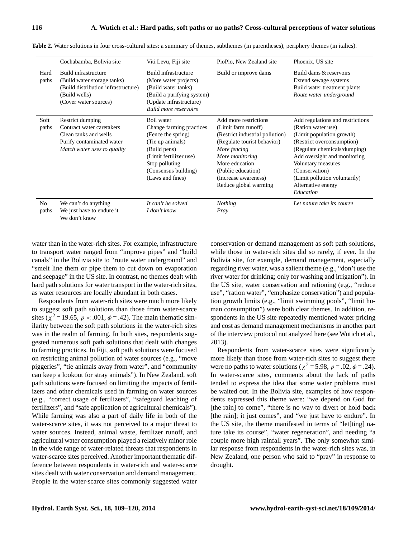|  |  | . |
|--|--|---|
|  |  |   |
|  |  |   |
|  |  |   |
|  |  |   |
|  |  |   |

|                         | Cochabamba, Bolivia site                                                                                                             | Viti Levu, Fiji site                                                                                                                                                                     | PioPio, New Zealand site                                                                                                                                                                                                                   | Phoenix, US site                                                                                                                                                                                                                                                                              |
|-------------------------|--------------------------------------------------------------------------------------------------------------------------------------|------------------------------------------------------------------------------------------------------------------------------------------------------------------------------------------|--------------------------------------------------------------------------------------------------------------------------------------------------------------------------------------------------------------------------------------------|-----------------------------------------------------------------------------------------------------------------------------------------------------------------------------------------------------------------------------------------------------------------------------------------------|
| Hard<br>paths           | Build infrastructure<br>(Build water storage tanks)<br>(Build distribution infrastructure)<br>(Build wells)<br>(Cover water sources) | Build infrastructure<br>(More water projects)<br>(Build water tanks)<br>(Build a purifying system)<br>(Update infrastructure)<br><b>Build more reservoirs</b>                            | Build or improve dams                                                                                                                                                                                                                      | Build dams & reservoirs<br>Extend sewage systems<br>Build water treatment plants<br>Route water underground                                                                                                                                                                                   |
| Soft<br>paths           | Restrict dumping<br>Contract water caretakers<br>Clean tanks and wells<br>Purify contaminated water<br>Match water uses to quality   | Boil water<br>Change farming practices<br>(Fence the spring)<br>(Tie up animals)<br>(Build pens)<br>(Limit fertilizer use)<br>Stop polluting<br>(Consensus building)<br>(Laws and fines) | Add more restrictions<br>(Limit farm runoff)<br>(Restrict industrial pollution)<br>(Regulate tourist behavior)<br>More fencing<br>More monitoring<br>More education<br>(Public education)<br>(Increase awareness)<br>Reduce global warming | Add regulations and restrictions<br>(Ration water use)<br>(Limit population growth)<br>(Restrict overconsumption)<br>(Regulate chemicals/dumping)<br>Add oversight and monitoring<br>Voluntary measures<br>(Conservation)<br>(Limit pollution voluntarily)<br>Alternative energy<br>Education |
| N <sub>o</sub><br>paths | We can't do anything<br>We just have to endure it<br>We don't know                                                                   | It can't be solved<br>I don't know                                                                                                                                                       | <b>Nothing</b><br>Pray                                                                                                                                                                                                                     | Let nature take its course                                                                                                                                                                                                                                                                    |

**Table 2.** Water solutions in four cross-cultural sites: a summary of themes, subthemes (in parentheses), periphery themes (in italics).

water than in the water-rich sites. For example, infrastructure to transport water ranged from "improve pipes" and "build canals" in the Bolivia site to "route water underground" and "smelt line them or pipe them to cut down on evaporation and seepage" in the US site. In contrast, no themes dealt with hard path solutions for water transport in the water-rich sites, as water resources are locally abundant in both cases.

Respondents from water-rich sites were much more likely to suggest soft path solutions than those from water-scarce sites ( $\chi^2$  = 19.65,  $p < .001$ ,  $\phi = .42$ ). The main thematic similarity between the soft path solutions in the water-rich sites was in the realm of farming. In both sites, respondents suggested numerous soft path solutions that dealt with changes to farming practices. In Fiji, soft path solutions were focused on restricting animal pollution of water sources (e.g., "move piggeries", "tie animals away from water", and "community can keep a lookout for stray animals"). In New Zealand, soft path solutions were focused on limiting the impacts of fertilizers and other chemicals used in farming on water sources (e.g., "correct usage of fertilizers", "safeguard leaching of fertilizers", and "safe application of agricultural chemicals"). While farming was also a part of daily life in both of the water-scarce sites, it was not perceived to a major threat to water sources. Instead, animal waste, fertilizer runoff, and agricultural water consumption played a relatively minor role in the wide range of water-related threats that respondents in water-scarce sites perceived. Another important thematic difference between respondents in water-rich and water-scarce sites dealt with water conservation and demand management. People in the water-scarce sites commonly suggested water conservation or demand management as soft path solutions, while those in water-rich sites did so rarely, if ever. In the Bolivia site, for example, demand management, especially regarding river water, was a salient theme (e.g., "don't use the river water for drinking; only for washing and irrigation"). In the US site, water conservation and rationing (e.g., "reduce use", "ration water", "emphasize conservation") and population growth limits (e.g., "limit swimming pools", "limit human consumption") were both clear themes. In addition, respondents in the US site repeatedly mentioned water pricing and cost as demand management mechanisms in another part of the interview protocol not analyzed here (see Wutich et al., 2013).

Respondents from water-scarce sites were significantly more likely than those from water-rich sites to suggest there were no paths to water solutions ( $\chi^2$  = 5.98, p = .02,  $\phi$  = .24). In water-scarce sites, comments about the lack of paths tended to express the idea that some water problems must be waited out. In the Bolivia site, examples of how respondents expressed this theme were: "we depend on God for [the rain] to come", "there is no way to divert or hold back [the rain]; it just comes", and "we just have to endure". In the US site, the theme manifested in terms of "let[ting] nature take its course", "water regeneration", and needing "a couple more high rainfall years". The only somewhat similar response from respondents in the water-rich sites was, in New Zealand, one person who said to "pray" in response to drought.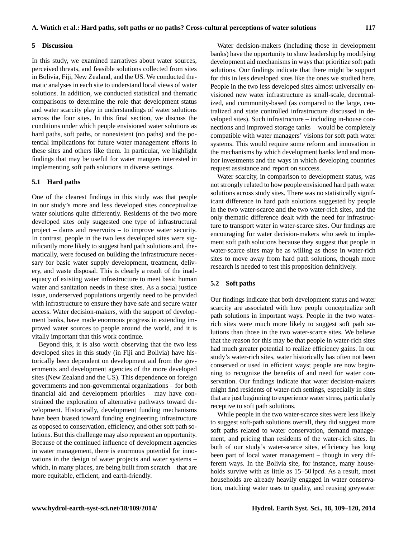## **5 Discussion**

In this study, we examined narratives about water sources, perceived threats, and feasible solutions collected from sites in Bolivia, Fiji, New Zealand, and the US. We conducted thematic analyses in each site to understand local views of water solutions. In addition, we conducted statistical and thematic comparisons to determine the role that development status and water scarcity play in understandings of water solutions across the four sites. In this final section, we discuss the conditions under which people envisioned water solutions as hard paths, soft paths, or nonexistent (no paths) and the potential implications for future water management efforts in these sites and others like them. In particular, we highlight findings that may be useful for water mangers interested in implementing soft path solutions in diverse settings.

## **5.1 Hard paths**

One of the clearest findings in this study was that people in our study's more and less developed sites conceptualize water solutions quite differently. Residents of the two more developed sites only suggested one type of infrastructural project – dams and reservoirs – to improve water security. In contrast, people in the two less developed sites were significantly more likely to suggest hard path solutions and, thematically, were focused on building the infrastructure necessary for basic water supply development, treatment, delivery, and waste disposal. This is clearly a result of the inadequacy of existing water infrastructure to meet basic human water and sanitation needs in these sites. As a social justice issue, underserved populations urgently need to be provided with infrastructure to ensure they have safe and secure water access. Water decision-makers, with the support of development banks, have made enormous progress in extending improved water sources to people around the world, and it is vitally important that this work continue.

Beyond this, it is also worth observing that the two less developed sites in this study (in Fiji and Bolivia) have historically been dependent on development aid from the governments and development agencies of the more developed sites (New Zealand and the US). This dependence on foreign governments and non-governmental organizations – for both financial aid and development priorities – may have constrained the exploration of alternative pathways toward development. Historically, development funding mechanisms have been biased toward funding engineering infrastructure as opposed to conservation, efficiency, and other soft path solutions. But this challenge may also represent an opportunity. Because of the continued influence of development agencies in water management, there is enormous potential for innovations in the design of water projects and water systems – which, in many places, are being built from scratch – that are more equitable, efficient, and earth-friendly.

Water decision-makers (including those in development banks) have the opportunity to show leadership by modifying development aid mechanisms in ways that prioritize soft path solutions. Our findings indicate that there might be support for this in less developed sites like the ones we studied here. People in the two less developed sites almost universally envisioned new water infrastructure as small-scale, decentralized, and community-based (as compared to the large, centralized and state controlled infrastructure discussed in developed sites). Such infrastructure – including in-house connections and improved storage tanks – would be completely compatible with water managers' visions for soft path water systems. This would require some reform and innovation in the mechanisms by which development banks lend and monitor investments and the ways in which developing countries request assistance and report on success.

Water scarcity, in comparison to development status, was not strongly related to how people envisioned hard path water solutions across study sites. There was no statistically significant difference in hard path solutions suggested by people in the two water-scarce and the two water-rich sites, and the only thematic difference dealt with the need for infrastructure to transport water in water-scarce sites. Our findings are encouraging for water decision-makers who seek to implement soft path solutions because they suggest that people in water-scarce sites may be as willing as those in water-rich sites to move away from hard path solutions, though more research is needed to test this proposition definitively.

#### **5.2 Soft paths**

Our findings indicate that both development status and water scarcity are associated with how people conceptualize soft path solutions in important ways. People in the two waterrich sites were much more likely to suggest soft path solutions than those in the two water-scarce sites. We believe that the reason for this may be that people in water-rich sites had much greater potential to realize efficiency gains. In our study's water-rich sites, water historically has often not been conserved or used in efficient ways; people are now beginning to recognize the benefits of and need for water conservation. Our findings indicate that water decision-makers might find residents of water-rich settings, especially in sites that are just beginning to experience water stress, particularly receptive to soft path solutions.

While people in the two water-scarce sites were less likely to suggest soft-path solutions overall, they did suggest more soft paths related to water conservation, demand management, and pricing than residents of the water-rich sites. In both of our study's water-scarce sites, efficiency has long been part of local water management – though in very different ways. In the Bolivia site, for instance, many households survive with as little as  $15-50$  lpcd. As a result, most households are already heavily engaged in water conservation, matching water uses to quality, and reusing greywater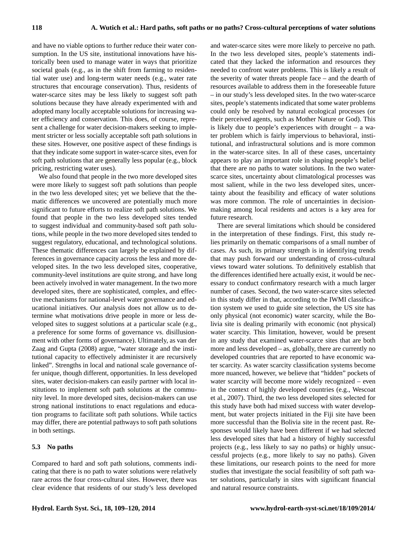and have no viable options to further reduce their water consumption. In the US site, institutional innovations have historically been used to manage water in ways that prioritize societal goals (e.g., as in the shift from farming to residential water use) and long-term water needs (e.g., water rate structures that encourage conservation). Thus, residents of water-scarce sites may be less likely to suggest soft path solutions because they have already experimented with and adopted many locally acceptable solutions for increasing water efficiency and conservation. This does, of course, represent a challenge for water decision-makers seeking to implement stricter or less socially acceptable soft path solutions in these sites. However, one positive aspect of these findings is that they indicate some support in water-scarce sites, even for soft path solutions that are generally less popular (e.g., block pricing, restricting water uses).

We also found that people in the two more developed sites were more likely to suggest soft path solutions than people in the two less developed sites; yet we believe that the thematic differences we uncovered are potentially much more significant to future efforts to realize soft path solutions. We found that people in the two less developed sites tended to suggest individual and community-based soft path solutions, while people in the two more developed sites tended to suggest regulatory, educational, and technological solutions. These thematic differences can largely be explained by differences in governance capacity across the less and more developed sites. In the two less developed sites, cooperative, community-level institutions are quite strong, and have long been actively involved in water management. In the two more developed sites, there are sophisticated, complex, and effective mechanisms for national-level water governance and educational initiatives. Our analysis does not allow us to determine what motivations drive people in more or less developed sites to suggest solutions at a particular scale (e.g., a preference for some forms of governance vs. disillusionment with other forms of governance). Ultimately, as van der Zaag and Gupta (2008) argue, "water storage and the institutional capacity to effectively administer it are recursively linked". Strengths in local and national scale governance offer unique, though different, opportunities. In less developed sites, water decision-makers can easily partner with local institutions to implement soft path solutions at the community level. In more developed sites, decision-makers can use strong national institutions to enact regulations and education programs to facilitate soft path solutions. While tactics may differ, there are potential pathways to soft path solutions in both settings.

## **5.3 No paths**

Compared to hard and soft path solutions, comments indicating that there is no path to water solutions were relatively rare across the four cross-cultural sites. However, there was clear evidence that residents of our study's less developed and water-scarce sites were more likely to perceive no path. In the two less developed sites, people's statements indicated that they lacked the information and resources they needed to confront water problems. This is likely a result of the severity of water threats people face – and the dearth of resources available to address them in the foreseeable future – in our study's less developed sites. In the two water-scarce sites, people's statements indicated that some water problems could only be resolved by natural ecological processes (or their perceived agents, such as Mother Nature or God). This is likely due to people's experiences with drought – a water problem which is fairly impervious to behavioral, institutional, and infrastructural solutions and is more common in the water-scarce sites. In all of these cases, uncertainty appears to play an important role in shaping people's belief that there are no paths to water solutions. In the two waterscarce sites, uncertainty about climatological processes was most salient, while in the two less developed sites, uncertainty about the feasibility and efficacy of water solutions was more common. The role of uncertainties in decisionmaking among local residents and actors is a key area for future research.

There are several limitations which should be considered in the interpretation of these findings. First, this study relies primarily on thematic comparisons of a small number of cases. As such, its primary strength is in identifying trends that may push forward our understanding of cross-cultural views toward water solutions. To definitively establish that the differences identified here actually exist, it would be necessary to conduct confirmatory research with a much larger number of cases. Second, the two water-scarce sites selected in this study differ in that, according to the IWMI classification system we used to guide site selection, the US site has only physical (not economic) water scarcity, while the Bolivia site is dealing primarily with economic (not physical) water scarcity. This limitation, however, would be present in any study that examined water-scarce sites that are both more and less developed – as, globally, there are currently no developed countries that are reported to have economic water scarcity. As water scarcity classification systems become more nuanced, however, we believe that "hidden" pockets of water scarcity will become more widely recognized – even in the context of highly developed countries (e.g., Wescoat et al., 2007). Third, the two less developed sites selected for this study have both had mixed success with water development, but water projects initiated in the Fiji site have been more successful than the Bolivia site in the recent past. Responses would likely have been different if we had selected less developed sites that had a history of highly successful projects (e.g., less likely to say no paths) or highly unsuccessful projects (e.g., more likely to say no paths). Given these limitations, our research points to the need for more studies that investigate the social feasibility of soft path water solutions, particularly in sites with significant financial and natural resource constraints.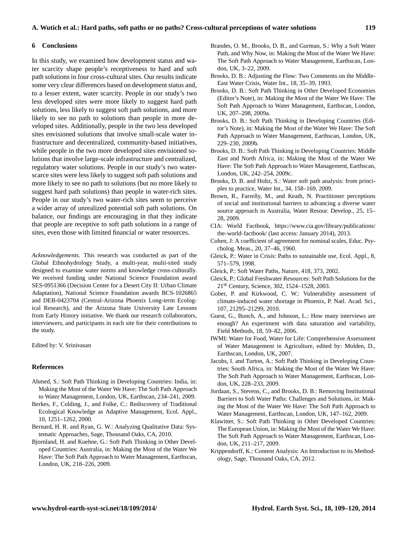## **6 Conclusions**

In this study, we examined how development status and water scarcity shape people's receptiveness to hard and soft path solutions in four cross-cultural sites. Our results indicate some very clear differences based on development status and, to a lesser extent, water scarcity. People in our study's two less developed sites were more likely to suggest hard path solutions, less likely to suggest soft path solutions, and more likely to see no path to solutions than people in more developed sites. Additionally, people in the two less developed sites envisioned solutions that involve small-scale water infrastructure and decentralized, community-based initiatives, while people in the two more developed sites envisioned solutions that involve large-scale infrastructure and centralized, regulatory water solutions. People in our study's two waterscarce sites were less likely to suggest soft path solutions and more likely to see no path to solutions (but no more likely to suggest hard path solutions) than people in water-rich sites. People in our study's two water-rich sites seem to perceive a wider array of unrealized potential soft path solutions. On balance, our findings are encouraging in that they indicate that people are receptive to soft path solutions in a range of sites, even those with limited financial or water resources.

*Acknowledgements.* This research was conducted as part of the Global Ethnohydrology Study, a multi-year, multi-sited study designed to examine water norms and knowledge cross-culturally. We received funding under National Science Foundation award SES-0951366 (Decision Center for a Desert City II: Urban Climate Adaptation), National Science Foundation awards BCS-1026865 and DEB-0423704 (Central-Arizona Phoenix Long-term Ecological Research), and the Arizona State University Late Lessons from Early History initiative. We thank our research collaborators, interviewers, and participants in each site for their contributions to the study.

Edited by: V. Srinivasan

#### **References**

- Ahmed, S.: Soft Path Thinking in Developing Countries: India, in: Making the Most of the Water We Have: The Soft Path Approach to Water Management, London, UK, Earthscan, 234–241, 2009.
- Berkes, F., Colding, J., and Folke, C.: Rediscovery of Traditional Ecological Knowledge as Adaptive Management, Ecol. Appl., 10, 1251–1262, 2000.
- Bernard, H. R. and Ryan, G. W.: Analyzing Qualitative Data: Systematic Approaches, Sage, Thousand Oaks, CA, 2010.
- Bjornland, H. and Kuehne, G.: Soft Path Thinking in Other Developed Countries: Australia, in: Making the Most of the Water We Have: The Soft Path Approach to Water Management, Earthscan, London, UK, 218–226, 2009.
- Brandes, O. M., Brooks, D. B., and Gurman, S.: Why a Soft Water Path, and Why Now, in: Making the Most of the Water We Have: The Soft Path Approach to Water Management, Earthscan, London, UK, 3–22, 2009.
- Brooks, D. B.: Adjusting the Flow: Two Comments on the Middle-East Water Crisis, Water Int., 18, 35–39, 1993.
- Brooks, D. B.: Soft Path Thinking in Other Developed Economies (Editor's Note), in: Making the Most of the Water We Have: The Soft Path Approach to Water Management, Earthscan, London, UK, 207–208, 2009a.
- Brooks, D. B.: Soft Path Thinking in Developing Countries (Editor's Note), in: Making the Most of the Water We Have: The Soft Path Approach to Water Management, Earthscan, London, UK, 229–230, 2009b.
- Brooks, D. B.: Soft Path Thinking in Developing Countries: Middle East and North Africa, in: Making the Most of the Water We Have: The Soft Path Approach to Water Management, Earthscan, London, UK, 242–254, 2009c.
- Brooks, D. B. and Holtz, S.: Water soft path analysis: from principles to practice, Water Int., 34, 158–169, 2009.
- Brown, R., Farrelly, M., and Keath, N. Practitioner perceptions of social and institutional barriers to advancing a diverse water source approach in Australia, Water Resour. Develop., 25, 15– 28, 2009.
- CIA: World Factbook, [https://www.cia.gov/library/publications/](https://www.cia.gov/library/publications/the-world-factbook/) [the-world-factbook/](https://www.cia.gov/library/publications/the-world-factbook/) (last access: January 2014), 2013.
- Cohen, J: A coefficient of agreement for nominal scales, Educ. Psycholog. Meas., 20, 37–46, 1960.
- Gleick, P.: Water in Crisis: Paths to sustainable use, Ecol. Appl., 8, 571–579, 1998.
- Gleick, P.: Soft Water Paths, Nature, 418, 373, 2002.
- Gleick, P.: Global Freshwater Resources: Soft Path Solutions for the 21st Century, Science, 302, 1524–1528, 2003.
- Gober, P. and Kirkwood, C. W.: Vulnerability assessment of climate-induced water shortage in Phoenix, P. Natl. Acad. Sci., 107, 21295–21299, 2010.
- Guest, G., Bunch, A., and Johnson, L.: How many interviews are enough? An experiment with data saturation and variability, Field Methods, 18, 59–82, 2006.
- IWMI: Water for Food, Water for Life: Comprehensive Assessment of Water Management in Agriculture, edited by: Molden, D., Earthscan, London, UK, 2007.
- Jacobs, I. and Turton, A.: Soft Path Thinking in Developing Countries: South Africa, in: Making the Most of the Water We Have: The Soft Path Approach to Water Management, Earthscan, London, UK, 228–233, 2009.
- Jordaan, S., Stevens, C., and Brooks, D. B.: Removing Institutional Barriers to Soft Water Paths: Challenges and Solutions, in: Making the Most of the Water We Have: The Soft Path Approach to Water Management, Earthscan, London, UK, 147–162, 2009.
- Klawitter, S.: Soft Path Thinking in Other Developed Countries: The European Union, in: Making the Most of the Water We Have: The Soft Path Approach to Water Management, Earthscan, London, UK, 211–217, 2009.
- Krippendorff, K.: Content Analysis: An Introduction to its Methodology, Sage, Thousand Oaks, CA, 2012.